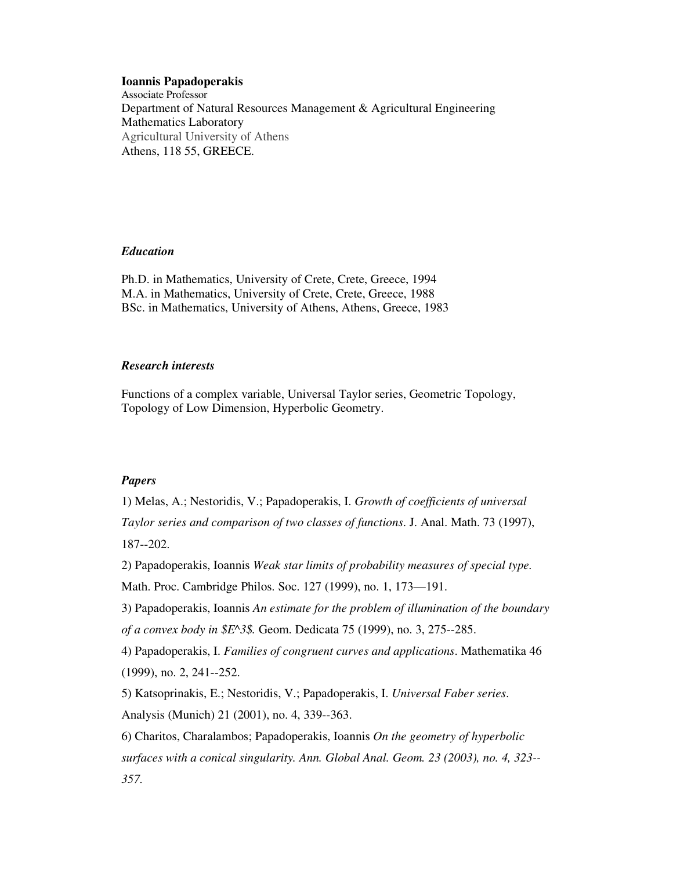## **Ioannis Papadoperakis**

Associate Professor Department of Natural Resources Management & Agricultural Engineering Mathematics Laboratory Agricultural University of Athens Athens, 118 55, GREECE.

## *Education*

Ph.D. in Mathematics, University of Crete, Crete, Greece, 1994 M.A. in Mathematics, University of Crete, Crete, Greece, 1988 BSc. in Mathematics, University of Athens, Athens, Greece, 1983

## *Research interests*

Functions of a complex variable, Universal Taylor series, Geometric Topology, Topology of Low Dimension, Hyperbolic Geometry.

## *Papers*

1) Melas, A.; Nestoridis, V.; Papadoperakis, I. *Growth of coefficients of universal Taylor series and comparison of two classes of functions*. J. Anal. Math. 73 (1997), 187--202.

2) Papadoperakis, Ioannis *Weak star limits of probability measures of special type.* Math. Proc. Cambridge Philos. Soc. 127 (1999), no. 1, 173—191.

3) Papadoperakis, Ioannis *An estimate for the problem of illumination of the boundary of a convex body in \$E^3\$.* Geom. Dedicata 75 (1999), no. 3, 275--285.

4) Papadoperakis, I. *Families of congruent curves and applications*. Mathematika 46 (1999), no. 2, 241--252.

5) Katsoprinakis, E.; Nestoridis, V.; Papadoperakis, I. *Universal Faber series*. Analysis (Munich) 21 (2001), no. 4, 339--363.

6) Charitos, Charalambos; Papadoperakis, Ioannis *On the geometry of hyperbolic surfaces with a conical singularity. Ann. Global Anal. Geom. 23 (2003), no. 4, 323-- 357.*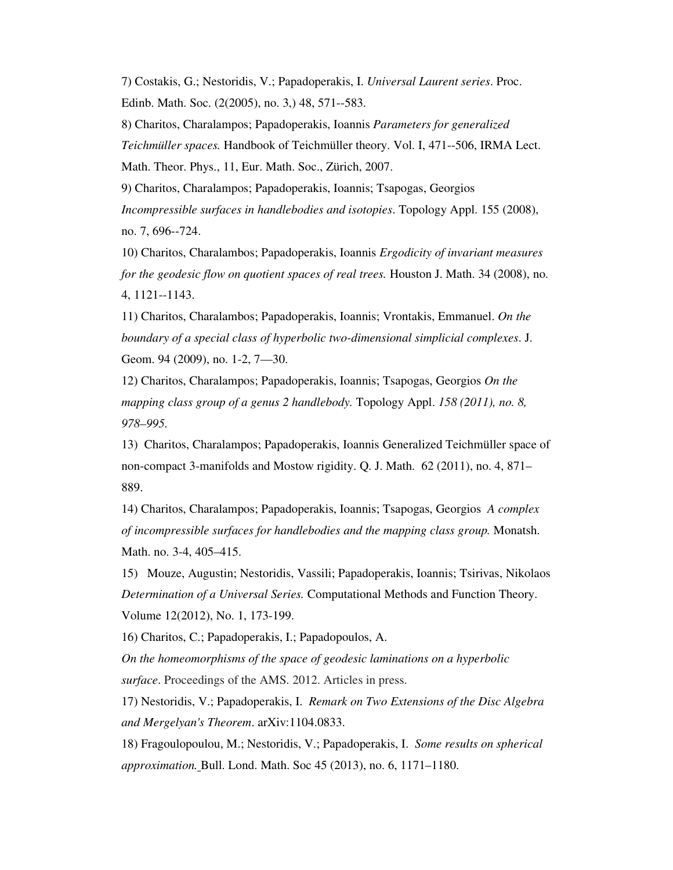7) Costakis, G.; Nestoridis, V.; Papadoperakis, I. *Universal Laurent series*. Proc. Edinb. Math. Soc. (2(2005), no. 3,) 48, 571--583.

8) Charitos, Charalampos; Papadoperakis, Ioannis *Parameters for generalized Teichmüller spaces.* Handbook of Teichmüller theory. Vol. I, 471--506, IRMA Lect. Math. Theor. Phys., 11, Eur. Math. Soc., Zürich, 2007.

9) Charitos, Charalampos; Papadoperakis, Ioannis; Tsapogas, Georgios *Incompressible surfaces in handlebodies and isotopies*. Topology Appl. 155 (2008), no. 7, 696--724.

10) Charitos, Charalambos; Papadoperakis, Ioannis *Ergodicity of invariant measures for the geodesic flow on quotient spaces of real trees.* Houston J. Math. 34 (2008), no. 4, 1121--1143.

11) Charitos, Charalambos; Papadoperakis, Ioannis; Vrontakis, Emmanuel. *On the boundary of a special class of hyperbolic two-dimensional simplicial complexes*. J. Geom. 94 (2009), no. 1-2, 7—30.

12) Charitos, Charalampos; Papadoperakis, Ioannis; Tsapogas, Georgios *On the mapping class group of a genus 2 handlebody.* Topology Appl. *158 (2011), no. 8, 978–995.* 

13) Charitos, Charalampos; Papadoperakis, Ioannis Generalized Teichmüller space of non-compact 3-manifolds and Mostow rigidity. Q. J. Math. 62 (2011), no. 4, 871– 889.

14) Charitos, Charalampos; Papadoperakis, Ioannis; Tsapogas, Georgios *A complex of incompressible surfaces for handlebodies and the mapping class group.* Monatsh. Math. no. 3-4, 405–415.

15) Mouze, Augustin; Nestoridis, Vassili; Papadoperakis, Ioannis; Tsirivas, Nikolaos *Determination of a Universal Series.* Computational Methods and Function Theory. Volume 12(2012), No. 1, 173-199.

16) Charitos, C.; Papadoperakis, I.; Papadopoulos, A.

*On the homeomorphisms of the space of geodesic laminations on a hyperbolic surface*. Proceedings of the AMS. 2012. Articles in press.

17) Nestoridis, V.; Papadoperakis, I. *Remark on Two Extensions of the Disc Algebra and Mergelyan's Theorem*. arXiv:1104.0833.

18) Fragoulopoulou, M.; Nestoridis, V.; Papadoperakis, I. *Some results on spherical approximation.* Bull. Lond. Math. Soc 45 (2013), no. 6, 1171–1180.